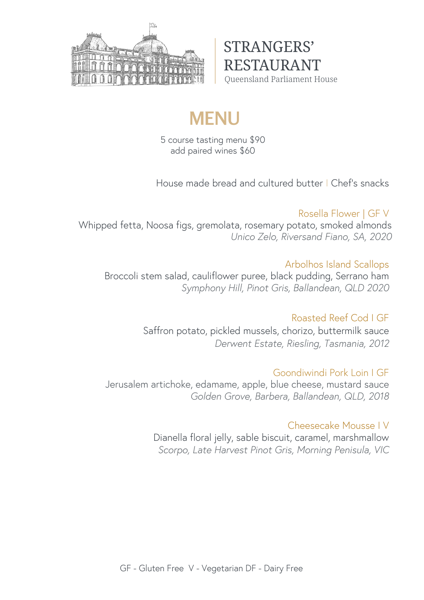

STRANGERS' RESTAURANT Queensland Parliament House

# **MENU**

5 course tasting menu \$90 add paired wines \$60

House made bread and cultured butter I Chef's snacks

## Rosella Flower | GF V

Whipped fetta, Noosa figs, gremolata, rosemary potato, smoked almonds *Unico Zelo, Riversand Fiano, SA, 2020*

### Arbolhos Island Scallops

Broccoli stem salad, cauliflower puree, black pudding, Serrano ham *Symphony Hill, Pinot Gris, Ballandean, QLD 2020*

## Roasted Reef Cod I GF

Saffron potato, pickled mussels, chorizo, buttermilk sauce *Derwent Estate, Riesling, Tasmania, 2012*

#### Goondiwindi Pork Loin I GF

Jerusalem artichoke, edamame, apple, blue cheese, mustard sauce *Golden Grove, Barbera, Ballandean, QLD, 2018*

#### Cheesecake Mousse I V

Dianella floral jelly, sable biscuit, caramel, marshmallow *Scorpo, Late Harvest Pinot Gris, Morning Penisula, VIC*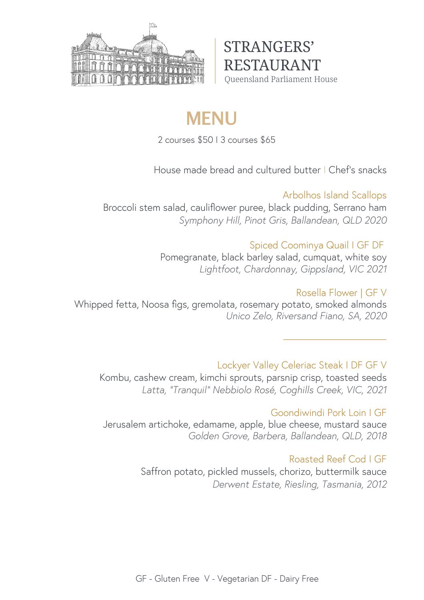

STRANGERS' RESTAURANT Queensland Parliament House

# **MENU**

2 courses \$50 I 3 courses \$65

House made bread and cultured butter I Chef's snacks

#### Arbolhos Island Scallops

Broccoli stem salad, cauliflower puree, black pudding, Serrano ham *Symphony Hill, Pinot Gris, Ballandean, QLD 2020*

### Spiced Coominya Quail I GF DF

Pomegranate, black barley salad, cumquat, white soy *Lightfoot, Chardonnay, Gippsland, VIC 2021*

## Rosella Flower | GF V

Whipped fetta, Noosa figs, gremolata, rosemary potato, smoked almonds *Unico Zelo, Riversand Fiano, SA, 2020*

## Lockyer Valley Celeriac Steak I DF GF V

Kombu, cashew cream, kimchi sprouts, parsnip crisp, toasted seeds *Latta, "Tranquil" Nebbiolo Rosé, Coghills Creek, VIC, 2021*

#### Goondiwindi Pork Loin I GF

Jerusalem artichoke, edamame, apple, blue cheese, mustard sauce *Golden Grove, Barbera, Ballandean, QLD, 2018*

## Roasted Reef Cod I GF

Saffron potato, pickled mussels, chorizo, buttermilk sauce *Derwent Estate, Riesling, Tasmania, 2012*